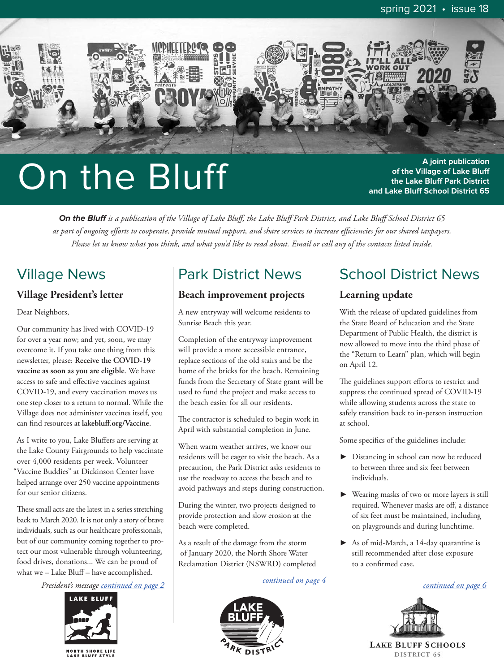<span id="page-0-0"></span>

# On the Bluff

**the Lake Bluff Park District and Lake Bluff School District** 

*On the Blu***ff** *is a publication of the Village of Lake Bluff, the Lake Bluff Park District, and Lake Bluff School District 65 as part of ongoing efforts to cooperate, provide mutual support, and share services to increase efficiencies for our shared taxpayers. Please let us know what you think, and what you'd like to read about. Email or call any of the contacts listed inside.*

# Village News

### **Village President's letter**

Dear Neighbors,

Our community has lived with COVID-19 for over a year now; and yet, soon, we may overcome it. If you take one thing from this newsletter, please: **Receive the COVID-19 vaccine as soon as you are eligible**. We have access to safe and effective vaccines against COVID-19, and every vaccination moves us one step closer to a return to normal. While the Village does not administer vaccines itself, you can find resources at **lakebluff.org/Vaccine**.

As I write to you, Lake Bluffers are serving at the Lake County Fairgrounds to help vaccinate over 4,000 residents per week. Volunteer "Vaccine Buddies" at Dickinson Center have helped arrange over 250 vaccine appointments for our senior citizens.

These small acts are the latest in a series stretching back to March 2020. It is not only a story of brave individuals, such as our healthcare professionals, but of our community coming together to protect our most vulnerable through volunteering, food drives, donations... We can be proud of what we – Lake Bluff – have accomplished.

### *President's message continued on page 2 continued on page 4*



# Park District News

### **Beach improvement projects**

A new entryway will welcome residents to Sunrise Beach this year.

Completion of the entryway improvement will provide a more accessible entrance, replace sections of the old stairs and be the home of the bricks for the beach. Remaining funds from the Secretary of State grant will be used to fund the project and make access to the beach easier for all our residents.

The contractor is scheduled to begin work in April with substantial completion in June.

When warm weather arrives, we know our residents will be eager to visit the beach. As a precaution, the Park District asks residents to use the roadway to access the beach and to avoid pathways and steps during construction.

During the winter, two projects designed to provide protection and slow erosion at the beach were completed.

As a result of the damage from the storm of January 2020, the North Shore Water Reclamation District (NSWRD) completed



# School District News

### **Learning update**

With the release of updated guidelines from the State Board of Education and the State Department of Public Health, the district is now allowed to move into the third phase of the "Return to Learn" plan, which will begi on April 12.

The guidelines support efforts to restrict and suppress the continued spread of COVID-1 while allowing students across the state to safely transition back to in-person instruction at school.

Some specifics of the guidelines include:

- $\triangleright$  Distancing in school can now be reduce to between three and six feet between individuals.
- $\blacktriangleright$  Wearing masks of two or more layers is required. Whenever masks are off, a distance of six feet must be maintained, including on playgrounds and during lunchtime.
- As of mid-March, a 14-day quarantine still recommended after close exposure to a confirmed case.

*continued on page 6*



**LAKE BLUFF SCHOOLS** DISTRICT 65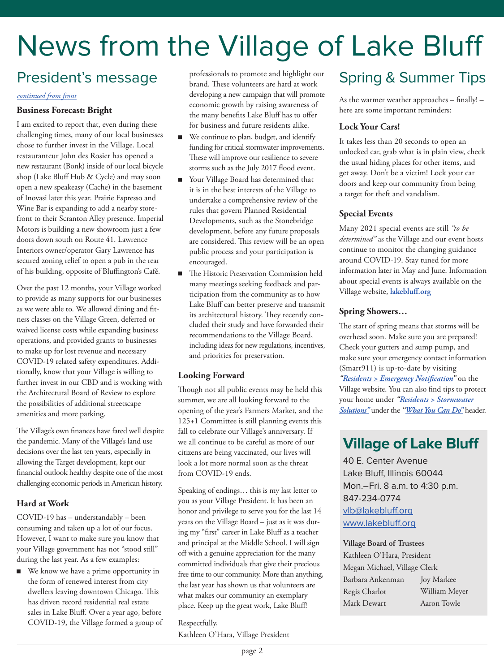# President's message

#### *continued from front*

#### **Business Forecast: Bright**

I am excited to report that, even during these challenging times, many of our local businesses [chose to further inv](#page-0-0)est in the Village. Local restauranteur John des Rosier has opened a new restaurant (Bonk) inside of our local bicycle shop (Lake Bluff Hub & Cycle) and may soon open a new speakeasy (Cache) in the basement of Inovasi later this year. Prairie Espresso and Wine Bar is expanding to add a nearby storefront to their Scranton Alley presence. Imperial Motors is building a new showroom just a few doors down south on Route 41. Lawrence Interiors owner/operator Gary Lawrence has secured zoning relief to open a pub in the rear of his building, opposite of Bluffington's Café.

Over the past 12 months, your Village worked to provide as many supports for our businesses as we were able to. We allowed dining and fitness classes on the Village Green, deferred or waived license costs while expanding business operations, and provided grants to businesses to make up for lost revenue and necessary COVID-19 related safety expenditures. Additionally, know that your Village is willing to further invest in our CBD and is working with the Architectural Board of Review to explore the possibilities of additional streetscape amenities and more parking.

The Village's own finances have fared well despite the pandemic. Many of the Village's land use decisions over the last ten years, especially in allowing the Target development, kept our financial outlook healthy despite one of the most challenging economic periods in American history.

#### **Hard at Work**

COVID-19 has – understandably – been consuming and taken up a lot of our focus. However, I want to make sure you know that your Village government has not "stood still" during the last year. As a few examples:

 We know we have a prime opportunity in the form of renewed interest from city dwellers leaving downtown Chicago. This has driven record residential real estate sales in Lake Bluff. Over a year ago, before COVID-19, the Village formed a group of professionals to promote and highlight our brand. These volunteers are hard at work developing a new campaign that will promote economic growth by raising awareness of the many benefits Lake Bluff has to offer for business and future residents alike.

News from the Village of Lake Bluff

- We continue to plan, budget, and identify funding for critical stormwater improvements. These will improve our resilience to severe storms such as the July 2017 flood event.
- Your Village Board has determined that it is in the best interests of the Village to undertake a comprehensive review of the rules that govern Planned Residential Developments, such as the Stonebridge development, before any future proposals are considered. This review will be an open public process and your participation is encouraged.
- The Historic Preservation Commission held many meetings seeking feedback and participation from the community as to how Lake Bluff can better preserve and transmit its architectural history. They recently concluded their study and have forwarded their recommendations to the Village Board, including ideas for new regulations, incentives, and priorities for preservation.

#### **Looking Forward**

Though not all public events may be held this summer, we are all looking forward to the opening of the year's Farmers Market, and the 125+1 Committee is still planning events this fall to celebrate our Village's anniversary. If we all continue to be careful as more of our citizens are being vaccinated, our lives will look a lot more normal soon as the threat from COVID-19 ends.

Speaking of endings… this is my last letter to you as your Village President. It has been an honor and privilege to serve you for the last 14 years on the Village Board – just as it was during my "first" career in Lake Bluff as a teacher and principal at the Middle School. I will sign off with a genuine appreciation for the many committed individuals that give their precious free time to our community. More than anything, the last year has shown us that volunteers are what makes our community an exemplary place. Keep up the great work, Lake Bluff!

Respectfully, Kathleen O'Hara, Village President

# Spring & Summer Tip

As the warmer weather approaches  $-$  finally here are some important reminders:

### **Lock Your Cars!**

It takes less than 20 seconds to open an unlocked car, grab what is in plain view, che the usual hiding places for other items, and get away. Don't be a victim! Lock your car doors and keep our community from being a target for theft and vandalism.

### **Special Events**

Many 2021 special events are still *"to be determined*" as the Village and our event ho continue to monitor the changing guidance around COVID-19. Stay tuned for more information later in May and June. Informat about special events is always available on th Village website, **lakebluff.org**

### **Spring Showers…**

The start of spring means that storms will b overhead soon. Make sure you are prepared! Check your gu[tters and sump](https://www.lakebluff.org) pump, and make sure your emergency contact informat (Smart911) is up-to-date by visiting *"Residents > Emergency Notification"* on the Village website. You can also find tips to prot your home under *"Residents > Stormwater*  **Solutions**" under the "*What You Can Do*" head

# **[Village of Lake](https://www.lakebluff.org/residents/emergency-notification) [Bluff](https://www.lakebluff.org/residents/stormwater-solutions)**

[40 E. C](https://www.lakebluff.org/residents/stormwater-solutions)enter A[venue](https://www.lakebluff.org/residents/stormwater-solutions#what-you-can-do)  Lake Bluff, Illinois 60044 Mon.–Fri. 8 a.m. to 4:30 p.m. 847-234-0774 vlb@lakebluff.org www.lakebluff.org

#### **Village Board of Trustees**

| Kathleen O'Hara, President   |               |
|------------------------------|---------------|
| Megan Michael, Village Clerk |               |
| Barbara Ankenman             | Joy Markee    |
| Regis Charlot                | William Meyer |
| Mark Dewart                  | Aaron Towle   |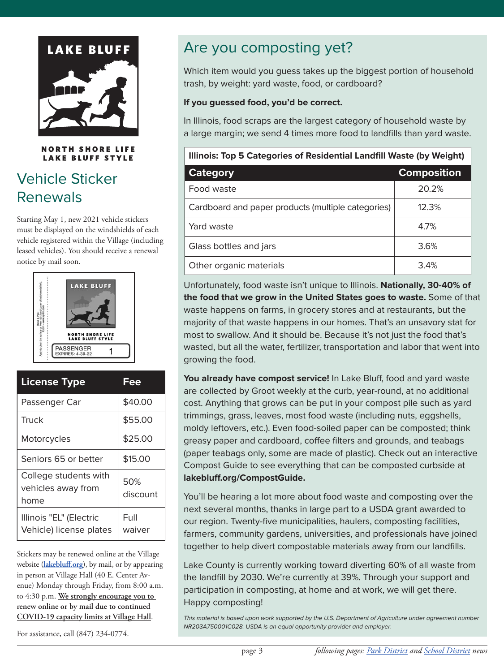

**NORTH SHORE LIFE LAKE BLUFF STYLE** 

# Ve[hicle Sticker](https://www.lakebluff.org)  Renewals

Starting May 1, new 2021 vehicle stickers must be displayed on the windshields of each vehicle registered within the Village (including leased vehicles). You should receive a renewal notice by mail soon.



| <b>License Type</b>                                 | Fee             |
|-----------------------------------------------------|-----------------|
| Passenger Car                                       | \$40.00         |
| <b>Truck</b>                                        | \$55.00         |
| Motorcycles                                         | \$25.00         |
| Seniors 65 or better                                | \$15.00         |
| College students with<br>vehicles away from<br>home | 50%<br>discount |
| Illinois "EL" (Electric<br>Vehicle) license plates  | Full<br>waiver  |

Stickers may be renewed online at the Village website (**lakebluff.org**), by mail, or by appearing in person at Village Hall (40 E. Center Avenue) Monday through Friday, from 8:00 a.m. to 4:30 p.m. **We strongly encourage you to renew online or by mail due to continued COVI[D-19 capacity](https://www.lakebluff.org) limits at Village Hall**.

For assistance, call (847) 234-0774.

Which item would you guess takes up the biggest portion of household trash, by weight: yard waste, food, or cardboard?

#### **If you guessed food, you'd be correct.**

In Illinois, food scraps are the largest category of household waste by a large margin; we send 4 times more food to landfills than yard waste.

# **Illinois: Top 5 Categories of Residential Landfill Waste (by Weight) Category Composition** Food waste 20.2% Cardboard and paper products (multiple categories) | 12.3% Yard waste  $4.7\%$ Glass bottles and jars and sexual sexual sexual sexual sexual sexual sexual sexual sexual sexual sexual sexual sexual sexual sexual sexual sexual sexual sexual sexual sexual sexual sexual sexual sexual sexual sexual sexual Other organic materials and the state of the 3.4%

Unfortunately, food waste isn't unique to Illinois. **Nationally, 30-40% of** the food that we grow in the United States goes to waste. Some of that waste happens on farms, in grocery stores and at restaurants, but the majority of that waste happens in our homes. That's an unsavory stat for most to swallow. And it should be. Because it's not just the food that's wasted, but all the water, fertilizer, transportation and labor that went into growing the food.

You already have compost service! In Lake Bluff, food and yard waste are collected by Groot weekly at the curb, year-round, at no additional cost. Anything that grows can be put in your compost pile such as yard trimmings, grass, leaves, most food waste (including nuts, eggshells, moldy leftovers, etc.). Even food-soiled paper can be composted; think greasy paper and cardboard, coffee filters and grounds, and teabags (paper teabags only, some are made of plastic). Check out an interactive Compost Guide to see everything that can be composted curbside at **lakebluff.org/CompostGuide.**

You'll be hearing a lot more about food waste and composting over the next several months, thanks in large part to a USDA grant awarded to our region. Twenty-five municipalities, haulers, composting facilities, farmers, community gardens, universities, and professionals have joined together to help divert compostable materials away from our landfills.

Lake County is currently working toward diverting 60% of all waste from the landfill by 2030. We're currently at 39%. Through your support and participation in composting, at home and at work, we will get there. Happy composting!

This material is based upon work supported by the U.S. Department of Agriculture under agreement numbe NR203A750001C028. USDA is an equal opportunity provider and employer.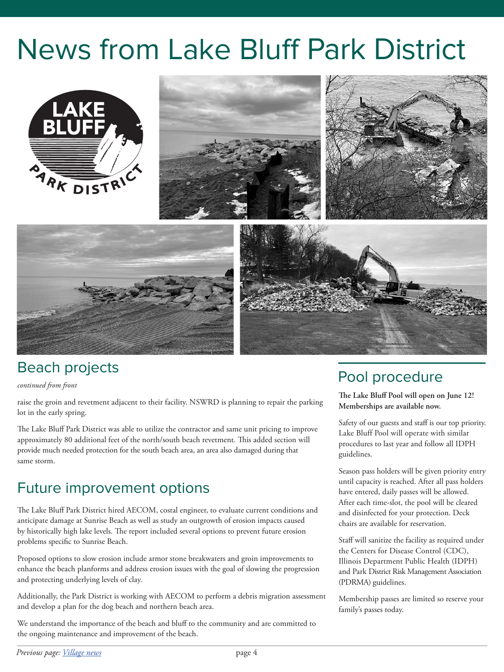# News from Lake Bluff Park District



### Beach projects

*continued from front*

raise the groin and revetment adjacent to their facility. NSWRD is planning to repair the parking lot in the early spring.

The Lake Bluff Park District was able to utilize the contractor and same unit pricing to improve approximately 80 additional feet of the north/south beach revetment. This added section will provide much needed protection for the south beach area, an area also damaged during that same storm.

### Future improvement options

The Lake Bluff Park District hired AECOM, costal engineer, to evaluate current conditions and anticipate damage at Sunrise Beach as well as study an outgrowth of erosion impacts caused by historically high lake levels. The report included several options to prevent future erosion problems specific to Sunrise Beach.

Proposed options to slow erosion include armor stone breakwaters and groin improvements to enhance the beach planforms and address erosion issues with the goal of slowing the progression and protecting underlying levels of clay.

Additionally, the Park District is working with AECOM to perform a debris migration assessment and develop a plan for the dog beach and northern beach area.

We understand the importance of the beach and bluff to the community and are committed to the ongoing maintenance and improvement of the beach.

### Pool procedure

**The Lake Bluff Pool will open on June 12! Memberships are available now.** 

Safety of our guests and staff is our top prior Lake Bluff Pool will operate with similar procedures to last year and follow all IDPH guidelines.

Season pass holders will be given priority entry until capacity is reached. After all pass holder have entered, daily passes will be allowed. After each time-slot, the pool will be cleared and disinfected for your protection. Deck chairs are available for reservation.

Staff will sanitize the facility as required und the Centers for Disease Control (CDC), Illinois Department Public Health (IDPH) and Park District Risk Management Association (PDRMA) guidelines.

Membership passes are limited so reserve your family's passes today.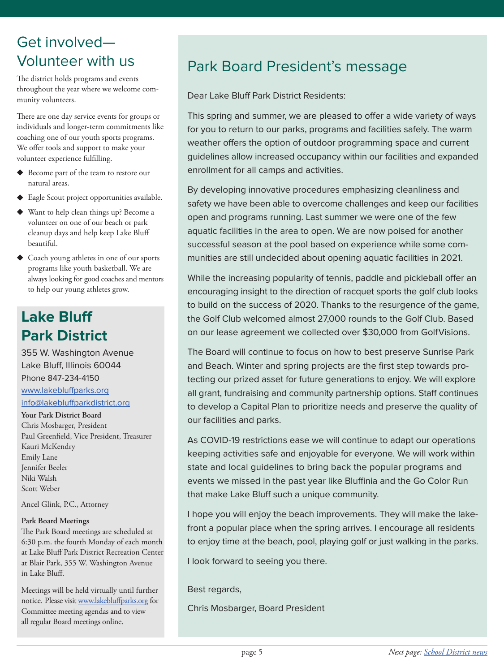### Volunteer with us

The district holds programs and events throughout the year where we welcome community volunteers.

There are one day service events for groups or individuals and longer-term commitments like coaching one of our youth sports programs. We offer tools and support to make your volunteer experience fulfilling.

- Become part of the team to restore our natural areas.
- Eagle Scout project opportunities available.
- Want to help clean things up? Become a volunteer on one of our beach or park cleanup days and help keep Lake Bluff beautiful.
- Coach young athletes in one of our sports programs like youth basketball. We are always looking for good coaches and mentors to help our young athletes grow.

# **Lake Bluff Park District**

355 W. Washington Avenue Lake Bluff, Illinois 60044 Phone 847-234-4150 www.lakebluffparks.org

#### info@lakebluffparkdistrict.org

**Your Park District Board**

Chris Mosbarger, President Paul Greenfield, Vice President, Treasurer [Kauri McKendry](https://www.lakebluffparks.org)  [Emily Lane](mailto: info@lakebluffparkdistrict.org)  Jennifer Beeler Niki Walsh Scott Weber

Ancel Glink, P.C., Attorney

#### **Park Board Meetings**

The Park Board meetings are scheduled at 6:30 p.m. the fourth Monday of each month at Lake Bluff Park District Recreation Center at Blair Park, 355 W. Washington Avenue in Lake Bluff.

Meetings will be held virtually until further notice. Please visit www.lakebluffparks.org for Committee meeting agendas and to view all regular Board meetings online.

# Park Board President's message

Dear Lake Bluff Park District Residents:

This spring and summer, we are pleased to offer a wide variety of ways for you to return to our parks, programs and facilities safely. The warm weather offers the option of outdoor programming space and current guidelines allow increased occupancy within our facilities and expanded enrollment for all camps and activities.

By developing innovative procedures emphasizing cleanliness and safety we have been able to overcome challenges and keep our facilities open and programs running. Last summer we were one of the few aquatic facilities in the area to open. We are now poised for another successful season at the pool based on experience while some communities are still undecided about opening aquatic facilities in 2021.

While the increasing popularity of tennis, paddle and pickleball offer an encouraging insight to the direction of racquet sports the golf club looks to build on the success of 2020. Thanks to the resurgence of the game the Golf Club welcomed almost 27,000 rounds to the Golf Club. Based on our lease agreement we collected over \$30,000 from GolfVisions.

The Board will continue to focus on how to best preserve Sunrise Park and Beach. Winter and spring projects are the first step towards protecting our prized asset for future generations to enjoy. We will explore all grant, fundraising and community partnership options. Staff continues to develop a Capital Plan to prioritize needs and preserve the quality of our facilities and parks.

As COVID-19 restrictions ease we will continue to adapt our operations keeping activities safe and enjoyable for everyone. We will work within state and local guidelines to bring back the popular programs and events we missed in the past year like Bluffinia and the Go Color Run that make Lake Bluff such a unique community.

I hope you will enjoy the beach improvements. They will make the lakefront a popular place when the spring arrives. I encourage all residents to enjoy time at the beach, pool, playing golf or just walking in the parks.

I look forward to seeing you there.

#### Best regards,

Chris Mosbarger, Board President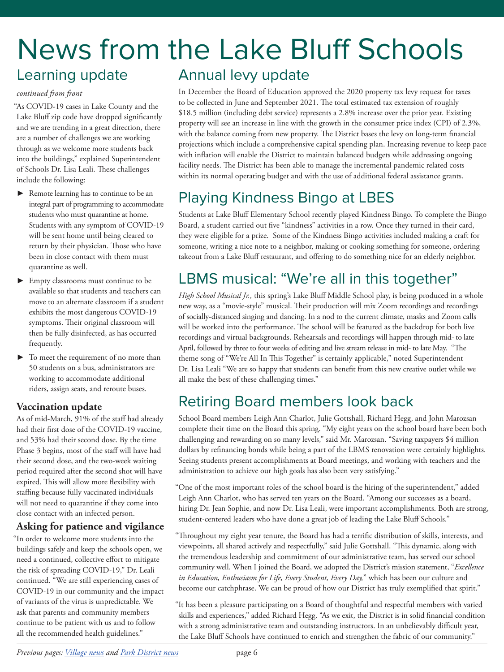### News from the Lake Bluff Schools Annual levy update Learning update

#### *continued from front*

"As COVID-19 cases in Lake County and the Lake Bluff zip code have dropped significantly and we are trending in a great direction, there are a number of challenges we are working through as we welcome more students back into the buildings," explained Superintendent of Schools Dr. Lisa Leali. These challenges include the following:

- Remote learning has to continue to be an integral part of programming to accommodate students who must quarantine at home. Students with any symptom of COVID-19 will be sent home until being cleared to return by their physician. Those who have been in close contact with them must quarantine as well.
- **Empty classrooms must continue to be** available so that students and teachers can move to an alternate classroom if a student exhibits the most dangerous COVID-19 symptoms. Their original classroom will then be fully disinfected, as has occurred frequently.
- To meet the requirement of no more than 50 students on a bus, administrators are working to accommodate additional riders, assign seats, and reroute buses.

### **Vaccination update**

As of mid-March, 91% of the staff had already had their first dose of the COVID-19 vaccine, and 53% had their second dose. By the time Phase 3 begins, most of the staff will have had their second dose, and the two-week waiting period required after the second shot will have expired. This will allow more flexibility with staffing because fully vaccinated individuals will not need to quarantine if they come into close contact with an infected person.

### **Asking for patience and vigilance**

"In order to welcome more students into the buildings safely and keep the schools open, we need a continued, collective effort to mitigate the risk of spreading COVID-19," Dr. Leali continued. "We are still experiencing cases of COVID-19 in our community and the impact of variants of the virus is unpredictable. We ask that parents and community members continue to be patient with us and to follow all the recommended health guidelines."

In December the Board of Education approved the 2020 property tax levy request for taxes to be collected in June and September 2021. The total estimated tax extension of roughly \$18.5 million (including debt service) represents a 2.8% increase over the prior year. Existing property will see an increase in line with the growth in the consumer price index (CPI) of 2.3%, with the balance coming from new property. The District bases the levy on long-term financial projections which include a comprehensive capital spending plan. Increasing revenue to keep p with inflation will enable the District to maintain balanced budgets while addressing ongoing facility needs. The District has been able to manage the incremental pandemic related costs within its normal operating budget and with the use of additional federal assistance grants.

# Playing Kindness Bingo at LBES

Students at Lake Bluff Elementary School recently played Kindness Bingo. To complete the Bi Board, a student carried out five "kindness" activities in a row. Once they turned in their card, they were eligible for a prize. Some of the Kindness Bingo activities included making a craft for someone, writing a nice note to a neighbor, making or cooking something for someone, orderin takeout from a Lake Bluff restaurant, and offering to do something nice for an elderly neighbor.

# LBMS musical: "We're all in this together"

High School Musical Jr., this spring's Lake Bluff Middle School play, is being produced in a who new way, as a "movie-style" musical. Their production will mix Zoom recordings and recordings of socially-distanced singing and dancing. In a nod to the current climate, masks and Zoom calls will be worked into the performance. The school will be featured as the backdrop for both live recordings and virtual backgrounds. Rehearsals and recordings will happen through mid- to late April, followed by three to four weeks of editing and live stream release in mid- to late May. "The theme song of "We're All In This Together" is certainly applicable," noted Superintendent Dr. Lisa Leali "We are so happy that students can benefit from this new creative outlet while we all make the best of these challenging times."

### Retiring Board members look back

School Board members Leigh Ann Charlot, Julie Gottshall, Richard Hegg, and John Marozsan complete their time on the Board this spring. "My eight years on the school board have been b challenging and rewarding on so many levels," said Mr. Marozsan. "Saving taxpayers \$4 million dollars by refinancing bonds while being a part of the LBMS renovation were certainly highlights. Seeing students present accomplishments at Board meetings, and working with teachers and the administration to achieve our high goals has also been very satisfying."

- "One of the most important roles of the school board is the hiring of the superintendent," added Leigh Ann Charlot, who has served ten years on the Board. "Among our successes as a board, hiring Dr. Jean Sophie, and now Dr. Lisa Leali, were important accomplishments. Both are strong, student-centered leaders who have done a great job of leading the Lake Bluff Schools."
- "Throughout my eight year tenure, the Board has had a terrific distribution of skills, interests, an viewpoints, all shared actively and respectfully," said Julie Gottshall. "This dynamic, along with the tremendous leadership and commitment of our administrative team, has served our school community well. When I joined the Board, we adopted the District's mission statement, "*Exceller in Education, Enthusiasm for Life, Every Student, Every Day,*" which has been our culture and become our catchphrase. We can be proud of how our District has truly exemplified that spirit.
- "It has been a pleasure participating on a Board of thoughtful and respectful members with vari skills and experiences," added Richard Hegg. "As we exit, the District is in solid financial condit with a strong administrative team and outstanding instructors. In an unbelievably difficult year the Lake Bluff Schools have continued to enrich and strengthen the fabric of our community."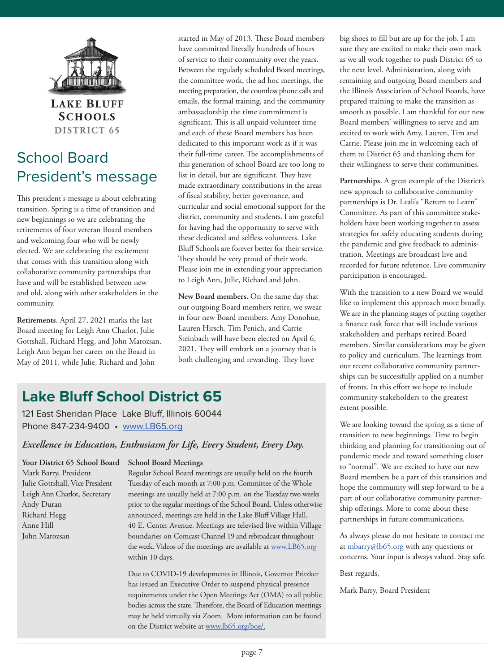

**LAKE BLUFF SCHOOLS** DISTRICT 65

# School Board Pre[sident's messa](http://www.lb65.org)ge

This president's message is about celebrating transition. Spring is a time of transition and new beginnings so we are celebrating the retirements of four veteran Board members and welcoming four who will be newly elected. We are celebrating the excitement that comes with this transition along with collaborative community partnerships that have and will be established between new and old, along with other stakeholders in the community.

**Retirements.** April 27, 2021 marks the last Board meeting for Leigh Ann Charlot, Julie Gottshall, Richard Hegg, and John Marozsan. Leigh Ann began her career on the Board in May of 2011, while Julie, Richard and John

of service to their community over the years. Between the regularly scheduled Board meetings, the committee work, the ad hoc meetings, the meeting preparation, the countless phone calls and emails, the formal training, and the community ambassadorship the time commitment is significant. This is all unpaid volunteer time and each of these Board members has been dedicated to this important work as if it was their full-time career. The accomplishments of this generation of school Board are too long to list in detail, but are significant. They have made extraordinary contributions in the areas of fiscal stability, better governance, and curricular and social emotional support for the district, community and students. I am grateful for having had the opportunity to serve with these dedicated and selfless volunteers. Lake Bluff Schools are forever better for their service. They should be very proud of their work. Please join me in extending your appreciation to Leigh Ann, Julie, Richard and John.

**New Board members.** On the same day that our outgoing Board members retire, we swear in four new Board members. Amy Donohue, Lauren Hirsch, Tim Penich, and Carrie Steinbach will have been elected on April 6, 2021. They will embark on a journey that is both challenging and rewarding. They have

### **Lake Bluff School District 65**

121 East Sheridan Place Lake Bluff, Illinois 60044 Phone 847-234-9400 • www.LB65.org

#### *Excellence in Education, Enthusiasm for Life, Every Student, Every Day.*

Mark Barry, President Julie Gottshall, Vice President Leigh Ann Charlot, Secretary Andy Duran Richard Hegg Anne Hill John Marozsan

#### **Your District 65 School Board School Board Meetings**

Regular School Board meetings are usually held on the fourth [Tuesday of each mo](http://www.lb65.org)nth at 7:00 p.m. Committee of the Whole meetings are usually held at 7:00 p.m. on the Tuesday two weeks prior to the regular meetings of the School Board. Unless otherwise announced, meetings are held in the Lake Bluff Village Hall, 40 E. Center Avenue. Meetings are televised live within Village boundaries on Comcast Channel 19 and rebroadcast throughout the week. Videos of the meetings are available at www.LB65.org within 10 days.

Due to COVID-19 developments in Illinois, Governor Pritzker has issued an Executive Order to suspend physical presence requirements under the Open Meetings Act (OMA) to all public bodies across the state. Therefore, the Board of E[ducation meetings](http://www.lb65.org/boe/meeting-videos) may be held virtually via Zoom. More information can be found on the District website at www.lb65.org/boe/.

as we all work together to push District 65 the next level. Administration, along with remaining and outgoing Board members are the Illinois Association of School Boards, h prepared training to make the transition as smooth as possible. I am thankful for our n Board members' willingness to serve and am excited to work with Amy, Lauren, Tim and Carrie. Please join me in welcoming each of them to District 65 and thanking them for their willingness to serve their communities.

Partnerships. A great example of the Distri new approach to collaborative community partnerships is Dr. Leali's "Return to Learn" Committee. As part of this committee stakeholders have been working together to asses strategies for safely educating students during the pandemic and give feedback to administration. Meetings are broadcast live and recorded for future reference. Live commun participation is encouraged.

With the transition to a new Board we wou like to implement this approach more broad We are in the planning stages of putting toget a finance task force that will include various stakeholders and perhaps retired Board members. Similar considerations may be given to policy and curriculum. The learnings fro our recent collaborative community partne. ships can be successfully applied on a numb of fronts. In this effort we hope to include community stakeholders to the greatest extent possible.

We are looking toward the spring as a time transition to new beginnings. Time to begin thinking and planning for transitioning out pandemic mode and toward something close to "normal". We are excited to have our new Board members be a part of this transition hope the community will step forward to b part of our collaborative community partne ship offerings. More to come about these partnerships in future communications.

As always please do not hesitate to contact a at mbarry@lb65.org with any questions or concerns. Your input is always valued. Stay s

Best regards,

Mark Barry, Board President